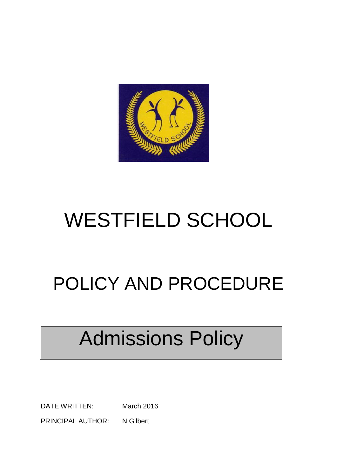

# WESTFIELD SCHOOL

## POLICY AND PROCEDURE

# Admissions Policy

DATE WRITTEN: March 2016 PRINCIPAL AUTHOR: N Gilbert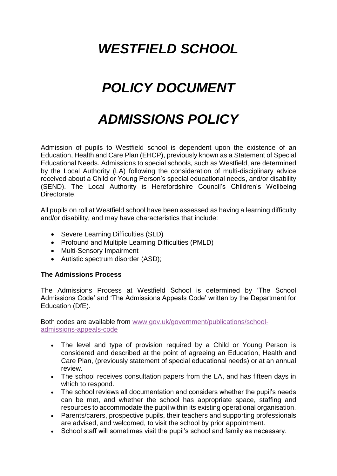#### *WESTFIELD SCHOOL*

## *POLICY DOCUMENT*

## *ADMISSIONS POLICY*

Admission of pupils to Westfield school is dependent upon the existence of an Education, Health and Care Plan (EHCP), previously known as a Statement of Special Educational Needs. Admissions to special schools, such as Westfield, are determined by the Local Authority (LA) following the consideration of multi-disciplinary advice received about a Child or Young Person's special educational needs, and/or disability (SEND). The Local Authority is Herefordshire Council's Children's Wellbeing Directorate.

All pupils on roll at Westfield school have been assessed as having a learning difficulty and/or disability, and may have characteristics that include:

- Severe Learning Difficulties (SLD)
- Profound and Multiple Learning Difficulties (PMLD)
- Multi-Sensory Impairment
- Autistic spectrum disorder (ASD);

#### **The Admissions Process**

The Admissions Process at Westfield School is determined by 'The School Admissions Code' and 'The Admissions Appeals Code' written by the Department for Education (DfE).

Both codes are available from [www.gov.uk/government/publications/school](https://www.gov.uk/government/publications/school-admissions-appeals-code)[admissions-appeals-code](https://www.gov.uk/government/publications/school-admissions-appeals-code)

- The level and type of provision required by a Child or Young Person is considered and described at the point of agreeing an Education, Health and Care Plan, (previously statement of special educational needs) or at an annual review.
- The school receives consultation papers from the LA, and has fifteen days in which to respond.
- The school reviews all documentation and considers whether the pupil's needs can be met, and whether the school has appropriate space, staffing and resources to accommodate the pupil within its existing operational organisation.
- Parents/carers, prospective pupils, their teachers and supporting professionals are advised, and welcomed, to visit the school by prior appointment.
- School staff will sometimes visit the pupil's school and family as necessary.